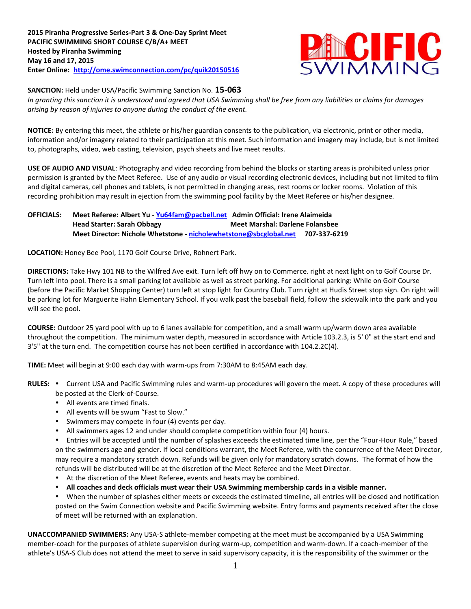**2015 Piranha Progressive Series-Part 3 & One-Day Sprint Meet PACIFIC SWIMMING SHORT COURSE C/B/A+ MEET Hosted by Piranha Swimming May 16 and 17, 2015 Enter Online: <http://ome.swimconnection.com/pc/quik20150516>**



**SANCTION:** Held under USA/Pacific Swimming Sanction No. **15-063**

*In granting this sanction it is understood and agreed that USA Swimming shall be free from any liabilities or claims for damages arising by reason of injuries to anyone during the conduct of the event.*

**NOTICE:** By entering this meet, the athlete or his/her guardian consents to the publication, via electronic, print or other media, information and/or imagery related to their participation at this meet. Such information and imagery may include, but is not limited to, photographs, video, web casting, television, psych sheets and live meet results.

**USE OF AUDIO AND VISUAL**: Photography and video recording from behind the blocks or starting areas is prohibited unless prior permission is granted by the Meet Referee. Use of any audio or visual recording electronic devices, including but not limited to film and digital cameras, cell phones and tablets, is not permitted in changing areas, rest rooms or locker rooms. Violation of this recording prohibition may result in ejection from the swimming pool facility by the Meet Referee or his/her designee.

## **OFFICIALS: Meet Referee: Albert Yu - [Yu64fam@pacbell.net](mailto:Yu64fam@pacbell.net) Admin Official: Irene Alaimeida Head Starter: Sarah Obbagy Meet Marshal: Darlene Folansbee Meet Director: Nichole Whetstone - [nicholewhetstone@sbcglobal.net](mailto:nicholewhetstone@sbcglobal.net) 707-337-6219**

**LOCATION:** Honey Bee Pool, 1170 Golf Course Drive, Rohnert Park.

**DIRECTIONS:** Take Hwy 101 NB to the Wilfred Ave exit. Turn left off hwy on to Commerce. right at next light on to Golf Course Dr. Turn left into pool. There is a small parking lot available as well as street parking. For additional parking: While on Golf Course (before the Pacific Market Shopping Center) turn left at stop light for Country Club. Turn right at Hudis Street stop sign. On right will be parking lot for Marguerite Hahn Elementary School. If you walk past the baseball field, follow the sidewalk into the park and you will see the pool.

**COURSE:** Outdoor 25 yard pool with up to 6 lanes available for competition, and a small warm up/warm down area available throughout the competition. The minimum water depth, measured in accordance with Article 103.2.3, is 5' 0" at the start end and 3'5" at the turn end. The competition course has not been certified in accordance with 104.2.2C(4).

**TIME:** Meet will begin at 9:00 each day with warm-ups from 7:30AM to 8:45AM each day.

- RULES: . Current USA and Pacific Swimming rules and warm-up procedures will govern the meet. A copy of these procedures will be posted at the Clerk-of-Course.
	- All events are timed finals.
	- All events will be swum "Fast to Slow."
	- Swimmers may compete in four (4) events per day.
	- All swimmers ages 12 and under should complete competition within four (4) hours.

Entries will be accepted until the number of splashes exceeds the estimated time line, per the "Four-Hour Rule," based on the swimmers age and gender. If local conditions warrant, the Meet Referee, with the concurrence of the Meet Director, may require a mandatory scratch down. Refunds will be given only for mandatory scratch downs. The format of how the refunds will be distributed will be at the discretion of the Meet Referee and the Meet Director.

- At the discretion of the Meet Referee, events and heats may be combined.
- **All coaches and deck officials must wear their USA Swimming membership cards in a visible manner.**

When the number of splashes either meets or exceeds the estimated timeline, all entries will be closed and notification posted on the Swim Connection website and Pacific Swimming website. Entry forms and payments received after the close of meet will be returned with an explanation.

**UNACCOMPANIED SWIMMERS:** Any USA-S athlete-member competing at the meet must be accompanied by a USA Swimming member-coach for the purposes of athlete supervision during warm-up, competition and warm-down. If a coach-member of the athlete's USA-S Club does not attend the meet to serve in said supervisory capacity, it is the responsibility of the swimmer or the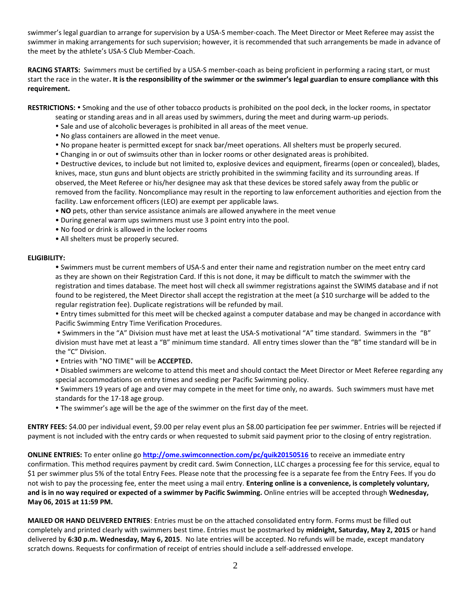swimmer's legal guardian to arrange for supervision by a USA-S member-coach. The Meet Director or Meet Referee may assist the swimmer in making arrangements for such supervision; however, it is recommended that such arrangements be made in advance of the meet by the athlete's USA-S Club Member-Coach.

**RACING STARTS:** Swimmers must be certified by a USA-S member-coach as being proficient in performing a racing start, or must start the race in the water**. It is the responsibility of the swimmer or the swimmer's legal guardian to ensure compliance with this requirement.**

RESTRICTIONS: • Smoking and the use of other tobacco products is prohibited on the pool deck, in the locker rooms, in spectator

- seating or standing areas and in all areas used by swimmers, during the meet and during warm-up periods.
- Sale and use of alcoholic beverages is prohibited in all areas of the meet venue.
- No glass containers are allowed in the meet venue.
- No propane heater is permitted except for snack bar/meet operations. All shelters must be properly secured.
- Changing in or out of swimsuits other than in locker rooms or other designated areas is prohibited.

 Destructive devices, to include but not limited to, explosive devices and equipment, firearms (open or concealed), blades, knives, mace, stun guns and blunt objects are strictly prohibited in the swimming facility and its surrounding areas. If observed, the Meet Referee or his/her designee may ask that these devices be stored safely away from the public or removed from the facility. Noncompliance may result in the reporting to law enforcement authorities and ejection from the facility. Law enforcement officers (LEO) are exempt per applicable laws.

- **NO** pets, other than service assistance animals are allowed anywhere in the meet venue
- During general warm ups swimmers must use 3 point entry into the pool.
- No food or drink is allowed in the locker rooms
- All shelters must be properly secured.

## **ELIGIBILITY:**

 Swimmers must be current members of USA-S and enter their name and registration number on the meet entry card as they are shown on their Registration Card. If this is not done, it may be difficult to match the swimmer with the registration and times database. The meet host will check all swimmer registrations against the SWIMS database and if not found to be registered, the Meet Director shall accept the registration at the meet (a \$10 surcharge will be added to the regular registration fee). Duplicate registrations will be refunded by mail.

 Entry times submitted for this meet will be checked against a computer database and may be changed in accordance with Pacific Swimming Entry Time Verification Procedures.

 Swimmers in the "A" Division must have met at least the USA-S motivational "A" time standard. Swimmers in the "B" division must have met at least a "B" minimum time standard. All entry times slower than the "B" time standard will be in the "C" Division.

Entries with "NO TIME" will be **ACCEPTED.**

 Disabled swimmers are welcome to attend this meet and should contact the Meet Director or Meet Referee regarding any special accommodations on entry times and seeding per Pacific Swimming policy.

 Swimmers 19 years of age and over may compete in the meet for time only, no awards. Such swimmers must have met standards for the 17-18 age group.

The swimmer's age will be the age of the swimmer on the first day of the meet.

**ENTRY FEES:** \$4.00 per individual event, \$9.00 per relay event plus an \$8.00 participation fee per swimmer. Entries will be rejected if payment is not included with the entry cards or when requested to submit said payment prior to the closing of entry registration.

**ONLINE ENTRIES:** To enter online go **<http://ome.swimconnection.com/pc/quik20150516>** to receive an immediate entry confirmation. This method requires payment by credit card. Swim Connection, LLC charges a processing fee for this service, equal to \$1 per swimmer plus 5% of the total Entry Fees. Please note that the processing fee is a separate fee from the Entry Fees. If you do not wish to pay the processing fee, enter the meet using a mail entry. **Entering online is a convenience, is completely voluntary, and is in no way required or expected of a swimmer by Pacific Swimming.** Online entries will be accepted through **Wednesday, May 06, 2015 at 11:59 PM.** 

**MAILED OR HAND DELIVERED ENTRIES**: Entries must be on the attached consolidated entry form. Forms must be filled out completely and printed clearly with swimmers best time. Entries must be postmarked by **midnight, Saturday, May 2, 2015** or hand delivered by **6:30 p.m. Wednesday, May 6, 2015**. No late entries will be accepted. No refunds will be made, except mandatory scratch downs. Requests for confirmation of receipt of entries should include a self-addressed envelope.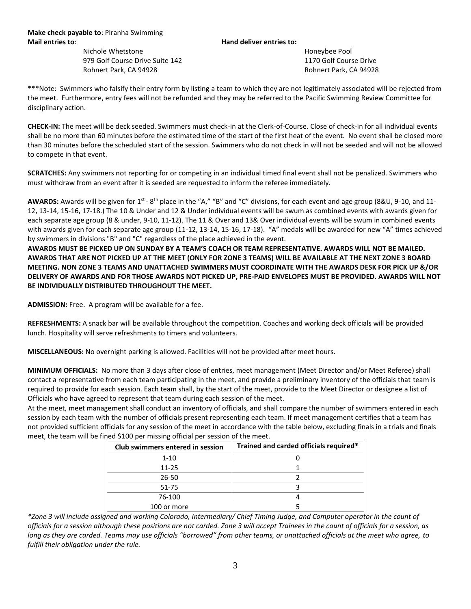Nichole Whetstone **Honeybee Pool** 979 Golf Course Drive Suite 142 1170 Golf Course Drive Rohnert Park, CA 94928 **Rohnert Park, CA 94928** Rohnert Park, CA 94928

\*\*\*Note: Swimmers who falsify their entry form by listing a team to which they are not legitimately associated will be rejected from the meet. Furthermore, entry fees will not be refunded and they may be referred to the Pacific Swimming Review Committee for disciplinary action.

**CHECK-IN:** The meet will be deck seeded. Swimmers must check-in at the Clerk-of-Course. Close of check-in for all individual events shall be no more than 60 minutes before the estimated time of the start of the first heat of the event. No event shall be closed more than 30 minutes before the scheduled start of the session. Swimmers who do not check in will not be seeded and will not be allowed to compete in that event.

**SCRATCHES:** Any swimmers not reporting for or competing in an individual timed final event shall not be penalized. Swimmers who must withdraw from an event after it is seeded are requested to inform the referee immediately.

AWARDS: Awards will be given for 1<sup>st</sup> - 8<sup>th</sup> place in the "A," "B" and "C" divisions, for each event and age group (8&U, 9-10, and 11-12, 13-14, 15-16, 17-18.) The 10 & Under and 12 & Under individual events will be swum as combined events with awards given for each separate age group (8 & under, 9-10, 11-12). The 11 & Over and 13& Over individual events will be swum in combined events with awards given for each separate age group (11-12, 13-14, 15-16, 17-18). "A" medals will be awarded for new "A" times achieved by swimmers in divisions "B" and "C" regardless of the place achieved in the event.

**AWARDS MUST BE PICKED UP ON SUNDAY BY A TEAM'S COACH OR TEAM REPRESENTATIVE. AWARDS WILL NOT BE MAILED. AWARDS THAT ARE NOT PICKED UP AT THE MEET (ONLY FOR ZONE 3 TEAMS) WILL BE AVAILABLE AT THE NEXT ZONE 3 BOARD MEETING. NON ZONE 3 TEAMS AND UNATTACHED SWIMMERS MUST COORDINATE WITH THE AWARDS DESK FOR PICK UP &/OR DELIVERY OF AWARDS AND FOR THOSE AWARDS NOT PICKED UP, PRE-PAID ENVELOPES MUST BE PROVIDED. AWARDS WILL NOT BE INDIVIDUALLY DISTRIBUTED THROUGHOUT THE MEET.**

**ADMISSION:** Free. A program will be available for a fee.

**REFRESHMENTS:** A snack bar will be available throughout the competition. Coaches and working deck officials will be provided lunch. Hospitality will serve refreshments to timers and volunteers.

**MISCELLANEOUS:** No overnight parking is allowed. Facilities will not be provided after meet hours.

**MINIMUM OFFICIALS:** No more than 3 days after close of entries, meet management (Meet Director and/or Meet Referee) shall contact a representative from each team participating in the meet, and provide a preliminary inventory of the officials that team is required to provide for each session. Each team shall, by the start of the meet, provide to the Meet Director or designee a list of Officials who have agreed to represent that team during each session of the meet.

At the meet, meet management shall conduct an inventory of officials, and shall compare the number of swimmers entered in each session by each team with the number of officials present representing each team. If meet management certifies that a team has not provided sufficient officials for any session of the meet in accordance with the table below, excluding finals in a trials and finals meet, the team will be fined \$100 per missing official per session of the meet.

| Club swimmers entered in session | Trained and carded officials required* |
|----------------------------------|----------------------------------------|
| $1 - 10$                         |                                        |
| 11-25                            |                                        |
| 26-50                            |                                        |
| 51-75                            |                                        |
| 76-100                           |                                        |
| 100 or more                      |                                        |

*\*Zone 3 will include assigned and working Colorado, Intermediary/ Chief Timing Judge, and Computer operator in the count of officials for a session although these positions are not carded. Zone 3 will accept Trainees in the count of officials for a session, as*  long as they are carded. Teams may use officials "borrowed" from other teams, or unattached officials at the meet who agree, to *fulfill their obligation under the rule.*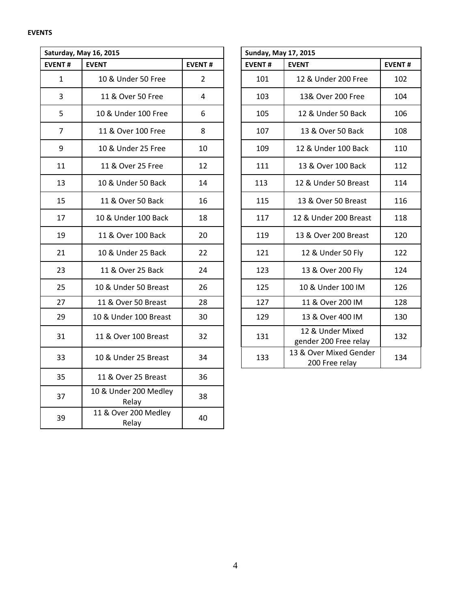## **EVENTS**

| Saturday, May 16, 2015 |                                |                | <b>Sunday, May 17, 2015</b> |               |                                           |               |  |  |  |
|------------------------|--------------------------------|----------------|-----------------------------|---------------|-------------------------------------------|---------------|--|--|--|
| <b>EVENT#</b>          | <b>EVENT</b>                   | <b>EVENT#</b>  |                             | <b>EVENT#</b> | <b>EVENT</b>                              | <b>EVENT#</b> |  |  |  |
| $\mathbf{1}$           | 10 & Under 50 Free             | $\overline{2}$ |                             | 101           | 12 & Under 200 Free                       | 102           |  |  |  |
| $\overline{3}$         | 11 & Over 50 Free              | 4              |                             | 103           | 13& Over 200 Free                         | 104           |  |  |  |
| 5                      | 10 & Under 100 Free            | 6              |                             | 105           | 12 & Under 50 Back                        | 106           |  |  |  |
| $\overline{7}$         | 11 & Over 100 Free             | 8              |                             | 107           | 13 & Over 50 Back                         | 108           |  |  |  |
| 9                      | 10 & Under 25 Free             | 10             |                             | 109           | 12 & Under 100 Back                       | 110           |  |  |  |
| 11                     | 11 & Over 25 Free              | 12             |                             | 111           | 13 & Over 100 Back                        | 112           |  |  |  |
| 13                     | 10 & Under 50 Back             | 14             |                             | 113           | 12 & Under 50 Breast                      | 114           |  |  |  |
| 15                     | 11 & Over 50 Back              | 16             |                             | 115           | 13 & Over 50 Breast                       | 116           |  |  |  |
| 17                     | 10 & Under 100 Back            | 18             |                             | 117           | 12 & Under 200 Breast                     | 118           |  |  |  |
| 19                     | 11 & Over 100 Back             | 20             |                             | 119           | 13 & Over 200 Breast                      | 120           |  |  |  |
| 21                     | 10 & Under 25 Back             | 22             |                             | 121           | 12 & Under 50 Fly                         | 122           |  |  |  |
| 23                     | 11 & Over 25 Back              | 24             |                             | 123           | 13 & Over 200 Fly                         | 124           |  |  |  |
| 25                     | 10 & Under 50 Breast           | 26             |                             | 125           | 10 & Under 100 IM                         | 126           |  |  |  |
| 27                     | 11 & Over 50 Breast            | 28             |                             | 127           | 11 & Over 200 IM                          | 128           |  |  |  |
| 29                     | 10 & Under 100 Breast          | 30             |                             | 129           | 13 & Over 400 IM                          | 130           |  |  |  |
| 31                     | 11 & Over 100 Breast           | 32             |                             | 131           | 12 & Under Mixed<br>gender 200 Free relay | 132           |  |  |  |
| 33                     | 10 & Under 25 Breast           | 34             |                             | 133           | 13 & Over Mixed Gender<br>200 Free relay  | 134           |  |  |  |
| 35                     | 11 & Over 25 Breast            | 36             |                             |               |                                           |               |  |  |  |
| 37                     | 10 & Under 200 Medley<br>Relay | 38             |                             |               |                                           |               |  |  |  |
| 39                     | 11 & Over 200 Medley<br>Relay  | 40             |                             |               |                                           |               |  |  |  |

|                | <b>urday, May 16, 2015</b> |                | <b>Sunday, May 17, 2015</b> |                                           |  |
|----------------|----------------------------|----------------|-----------------------------|-------------------------------------------|--|
| NT#            | <b>EVENT</b>               | <b>EVENT#</b>  | <b>EVENT#</b>               | <b>EVENT</b>                              |  |
| $\mathbf{1}$   | 10 & Under 50 Free         | $\overline{2}$ | 101                         | 12 & Under 200 Free                       |  |
| 3              | 11 & Over 50 Free          | 4              | 103                         | 13& Over 200 Free                         |  |
| 5              | 10 & Under 100 Free        | 6              | 105                         | 12 & Under 50 Back                        |  |
| $\overline{7}$ | 11 & Over 100 Free         | 8              | 107                         | 13 & Over 50 Back                         |  |
| 9              | 10 & Under 25 Free         | 10             | 109                         | 12 & Under 100 Back                       |  |
| 11             | 11 & Over 25 Free          | 12             | 111                         | 13 & Over 100 Back                        |  |
| 13             | 10 & Under 50 Back         | 14             | 113                         | 12 & Under 50 Breast                      |  |
| 15             | 11 & Over 50 Back          | 16             | 115                         | 13 & Over 50 Breast                       |  |
| 17             | 10 & Under 100 Back        | 18             | 117                         | 12 & Under 200 Breast                     |  |
| 19             | 11 & Over 100 Back         | 20             | 119                         | 13 & Over 200 Breast                      |  |
| 21             | 10 & Under 25 Back         | 22             | 121                         | 12 & Under 50 Fly                         |  |
| 23             | 11 & Over 25 Back          | 24             | 123                         | 13 & Over 200 Fly                         |  |
| 25             | 10 & Under 50 Breast       | 26             | 125                         | 10 & Under 100 IM                         |  |
| 27             | 11 & Over 50 Breast        | 28             | 127                         | 11 & Over 200 IM                          |  |
| 29             | 10 & Under 100 Breast      | 30             | 129                         | 13 & Over 400 IM                          |  |
| 31             | 11 & Over 100 Breast       | 32             | 131                         | 12 & Under Mixed<br>gender 200 Free relay |  |
| 33             | 10 & Under 25 Breast       | 34             | 133                         | 13 & Over Mixed Gender<br>200 Free relay  |  |